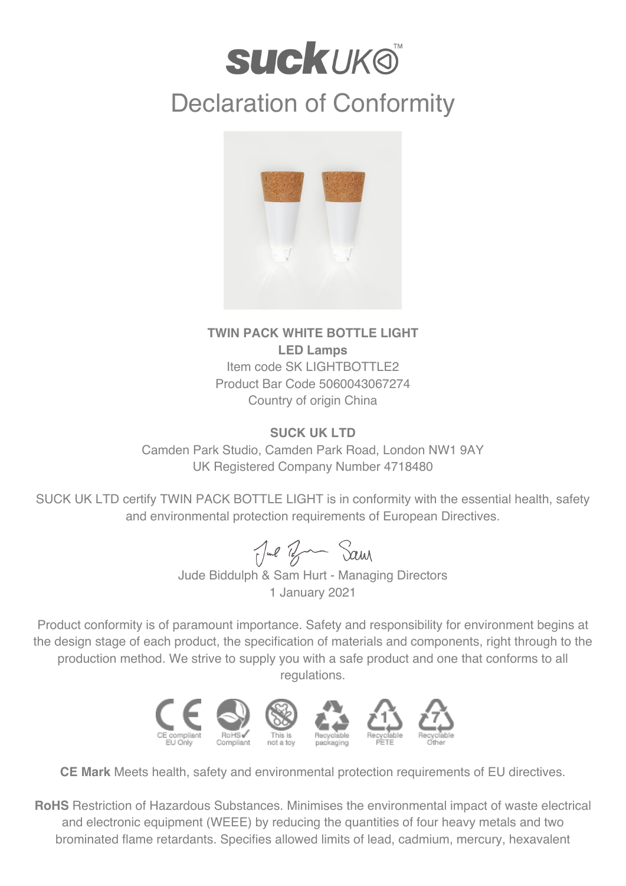## **SUCKUKO** Declaration of Conformity



## **TWIN PACK WHITE BOTTLE LIGHT LED Lamps** Item code SK LIGHTBOTTLE2 Product Bar Code 5060043067274 Country of origin China

## **SUCK UK LTD**

Camden Park Studio, Camden Park Road, London NW1 9AY UK Registered Company Number 4718480

SUCK UK LTD certify TWIN PACK BOTTLE LIGHT is in conformity with the essential health, safety and environmental protection requirements of European Directives.

Jul Br Sam

Jude Biddulph & Sam Hurt - Managing Directors 1 January 2021

Product conformity is of paramount importance. Safety and responsibility for environment begins at the design stage of each product, the specification of materials and components, right through to the production method. We strive to supply you with a safe product and one that conforms to all regulations.



**CE Mark** Meets health, safety and environmental protection requirements of EU directives.

**RoHS** Restriction of Hazardous Substances. Minimises the environmental impact of waste electrical and electronic equipment (WEEE) by reducing the quantities of four heavy metals and two brominated flame retardants. Specifies allowed limits of lead, cadmium, mercury, hexavalent